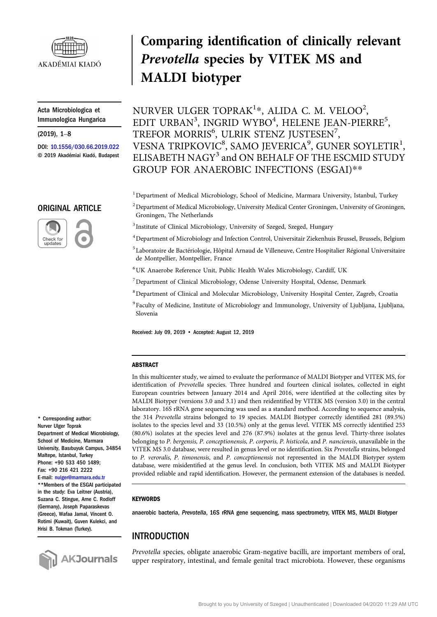

Acta Microbiologica et Immunologica Hungarica Acta Microb<br>Immunologio<br>(2019), 1–8

DOI: [10.1556/030.66.2019.022](https://dx.doi.org/10.1556/030.66.2019.022) © 2019 Akadémiai Kiadó, Budapest

#### ORIGINAL ARTICLE



# Comparing identification of clinically relevant Prevotella species by VITEK MS and MALDI biotyper

NURVER ULGER TOPRAK $^{1*}$ , ALIDA C. M. VELOO $^{2}$ , EDIT URBAN<sup>3</sup>, INGRID WYBO<sup>4</sup>, HELENE JEAN-PIERRE<sup>5</sup>, TREFOR MORRIS $^6$ , ULRIK STENZ JUSTESEN $^7$ , VESNA TRIPKOVIC<sup>8</sup>, SAMO JEVERICA<sup>9</sup>, GUNER SOYLETIR<sup>1</sup>, ELISABETH NAGY<sup>3</sup> and ON BEHALF OF THE ESCMID STUDY GROUP FOR ANAEROBIC INFECTIONS (ESGAI)\*\*

<sup>1</sup> Department of Medical Microbiology, School of Medicine, Marmara University, Istanbul, Turkey

- $^2$ Department of Medical Microbiology, University Medical Center Groningen, University of Groningen, Groningen, The Netherlands
- <sup>3</sup> Institute of Clinical Microbiology, University of Szeged, Szeged, Hungary
- 4 Department of Microbiology and Infection Control, Universitair Ziekenhuis Brussel, Brussels, Belgium
- <sup>5</sup> Laboratoire de Bactériologie, Hôpital Arnaud de Villeneuve, Centre Hospitalier Régional Universitaire de Montpellier, Montpellier, France
- 6 UK Anaerobe Reference Unit, Public Health Wales Microbiology, Cardiff, UK
- <sup>7</sup> Department of Clinical Microbiology, Odense University Hospital, Odense, Denmark
- 8 Department of Clinical and Molecular Microbiology, University Hospital Center, Zagreb, Croatia
- <sup>9</sup> Faculty of Medicine, Institute of Microbiology and Immunology, University of Ljubljana, Ljubljana, Slovenia

Received: July 09, 2019 • Accepted: August 12, 2019

#### ABSTRACT

In this multicenter study, we aimed to evaluate the performance of MALDI Biotyper and VITEK MS, for identification of Prevotella species. Three hundred and fourteen clinical isolates, collected in eight European countries between January 2014 and April 2016, were identified at the collecting sites by MALDI Biotyper (versions 3.0 and 3.1) and then reidentified by VITEK MS (version 3.0) in the central laboratory. 16S rRNA gene sequencing was used as a standard method. According to sequence analysis, the 314 Prevotella strains belonged to 19 species. MALDI Biotyper correctly identified 281 (89.5%) isolates to the species level and 33 (10.5%) only at the genus level. VITEK MS correctly identified 253 (80.6%) isolates at the species level and 276 (87.9%) isolates at the genus level. Thirty-three isolates belonging to P. bergensis, P. conceptionensis, P. corporis, P. histicola, and P. nanciensis, unavailable in the VITEK MS 3.0 database, were resulted in genus level or no identification. Six Prevotella strains, belonged to P. veroralis, P. timonensis, and P. conceptionensis not represented in the MALDI Biotyper system database, were misidentified at the genus level. In conclusion, both VITEK MS and MALDI Biotyper provided reliable and rapid identification. However, the permanent extension of the databases is needed.

#### **KEYWORDS**

anaerobic bacteria, Prevotella, 16S rRNA gene sequencing, mass spectrometry, VITEK MS, MALDI Biotyper

## INTRODUCTION

Prevotella species, obligate anaerobic Gram-negative bacilli, are important members of oral, upper respiratory, intestinal, and female genital tract microbiota. However, these organisms

\* Corresponding author: Nurver Ulger Toprak Department of Medical Microbiology, School of Medicine, Marmara University, Basıbuyuk Campus, 34854 Maltepe, Istanbul, Turkey Phone: +90 533 450 1489; Fax: +90 216 421 2222 E-mail: [nulger@marmara.edu.tr](mailto:nulger@marmara.edu.tr)

\*\*Members of the ESGAI participated in the study: Eva Leitner (Austria), Suzana C. Stingue, Arne C. Rodloff (Germany), Joseph Paparaskevas (Greece), Wafaa Jamal, Vincent O. Rotimi (Kuwait), Guven Kulekci, and Hrisi B. Tokman (Turkey).

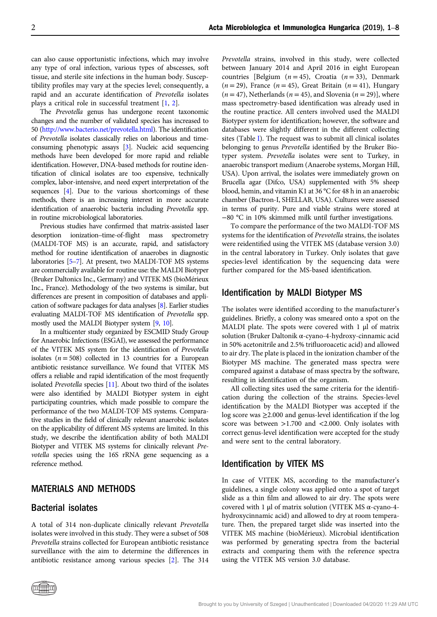can also cause opportunistic infections, which may involve any type of oral infection, various types of abscesses, soft tissue, and sterile site infections in the human body. Susceptibility profiles may vary at the species level; consequently, a rapid and an accurate identification of Prevotella isolates plays a critical role in successful treatment [[1,](#page-7-0) [2](#page-7-0)].

The Prevotella genus has undergone recent taxonomic changes and the number of validated species has increased to 50 [\(http://www.bacterio.net/prevotella.html\)](http://www.bacterio.net/prevotella.html). The identification of Prevotella isolates classically relies on laborious and timeconsuming phenotypic assays [[3](#page-7-0)]. Nucleic acid sequencing methods have been developed for more rapid and reliable identification. However, DNA-based methods for routine identification of clinical isolates are too expensive, technically complex, labor-intensive, and need expert interpretation of the sequences [[4](#page-7-0)]. Due to the various shortcomings of these methods, there is an increasing interest in more accurate identification of anaerobic bacteria including Prevotella spp. in routine microbiological laboratories. dentification of anaerobic bacteria including *Prevotella* spp.<br>in routine microbiological laboratories.<br>Previous studies have confirmed that matrix-assisted laser<br>desorption ionization–time-of-flight mass spectrometry

Previous studies have confirmed that matrix-assisted laser (MALDI-TOF MS) is an accurate, rapid, and satisfactory method for routine identification of anaerobes in diagnostic revious staties have commined that matrix assisted nascribes<br>desorption ionization-time-of-flight mass spectrometry<br>(MALDI-TOF MS) is an accurate, rapid, and satisfactory<br>method for routine identification of anaerobes in d are commercially available for routine use: the MALDI Biotyper (Bruker Daltonics Inc., Germany) and VITEK MS (bioMérieux Inc., France). Methodology of the two systems is similar, but differences are present in composition of databases and application of software packages for data analyses [\[8\]](#page-7-0). Earlier studies evaluating MALDI-TOF MS identification of Prevotella spp. mostly used the MALDI Biotyper system [[9](#page-7-0), [10](#page-7-0)].

In a multicenter study organized by ESCMID Study Group for Anaerobic Infections (ESGAI), we assessed the performance of the VITEK MS system for the identification of Prevotella isolates ( $n = 508$ ) collected in 13 countries for a European antibiotic resistance surveillance. We found that VITEK MS offers a reliable and rapid identification of the most frequently isolated Prevotella species [\[11\]](#page-7-0). About two third of the isolates were also identified by MALDI Biotyper system in eight participating countries, which made possible to compare the performance of the two MALDI-TOF MS systems. Comparative studies in the field of clinically relevant anaerobic isolates on the applicability of different MS systems are limited. In this study, we describe the identification ability of both MALDI Biotyper and VITEK MS systems for clinically relevant Prevotella species using the 16S rRNA gene sequencing as a reference method.

#### MATERIALS AND METHODS

#### Bacterial isolates

A total of 314 non-duplicate clinically relevant Prevotella isolates were involved in this study. They were a subset of 508 Prevotella strains collected for European antibiotic resistance surveillance with the aim to determine the differences in antibiotic resistance among various species [\[2](#page-7-0)]. The 314 Prevotella strains, involved in this study, were collected between January 2014 and April 2016 in eight European countries [Belgium  $(n = 45)$ , Croatia  $(n = 33)$ , Denmark  $(n = 29)$ , France  $(n = 45)$ , Great Britain  $(n = 41)$ , Hungary  $(n = 47)$ , Netherlands  $(n = 45)$ , and Slovenia  $(n = 29)$ , where mass spectrometry-based identification was already used in the routine practice. All centers involved used the MALDI Biotyper system for identification; however, the software and databases were slightly different in the different collecting sites (Table [I](#page-2-0)). The request was to submit all clinical isolates belonging to genus Prevotella identified by the Bruker Biotyper system. Prevotella isolates were sent to Turkey, in anaerobic transport medium (Anaerobe systems, Morgan Hill, USA). Upon arrival, the isolates were immediately grown on Brucella agar (Difco, USA) supplemented with 5% sheep blood, hemin, and vitamin K1 at 36 °C for 48 h in an anaerobic chamber (Bactron-I, SHELLAB, USA). Cultures were assessed in terms of purity. Pure and viable strains were stored at −80 °C in 10% skimmed milk until further investigations.

To compare the performance of the two MALDI-TOF MS systems for the identification of Prevotella strains, the isolates were reidentified using the VITEK MS (database version 3.0) in the central laboratory in Turkey. Only isolates that gave species-level identification by the sequencing data were further compared for the MS-based identification.

#### Identification by MALDI Biotyper MS

The isolates were identified according to the manufacturer's guidelines. Briefly, a colony was smeared onto a spot on the MALDI plate. The spots were covered with 1 μl of matrix solution (Bruker Daltonik α-cyano-4-hydroxy-cinnamic acid in 50% acetonitrile and 2.5% trifluoroacetic acid) and allowed to air dry. The plate is placed in the ionization chamber of the Biotyper MS machine. The generated mass spectra were compared against a database of mass spectra by the software, resulting in identification of the organism.

All collecting sites used the same criteria for the identification during the collection of the strains. Species-level identification by the MALDI Biotyper was accepted if the log score was ≥2.000 and genus-level identification if the log score was between >1.700 and <2.000. Only isolates with correct genus-level identification were accepted for the study and were sent to the central laboratory.

#### Identification by VITEK MS

In case of VITEK MS, according to the manufacturer's guidelines, a single colony was applied onto a spot of target slide as a thin film and allowed to air dry. The spots were covered with 1 μl of matrix solution (VITEK MS α-cyano-4 hydroxycinnamic acid) and allowed to dry at room temperature. Then, the prepared target slide was inserted into the VITEK MS machine (bioMérieux). Microbial identification was performed by generating spectra from the bacterial extracts and comparing them with the reference spectra using the VITEK MS version 3.0 database.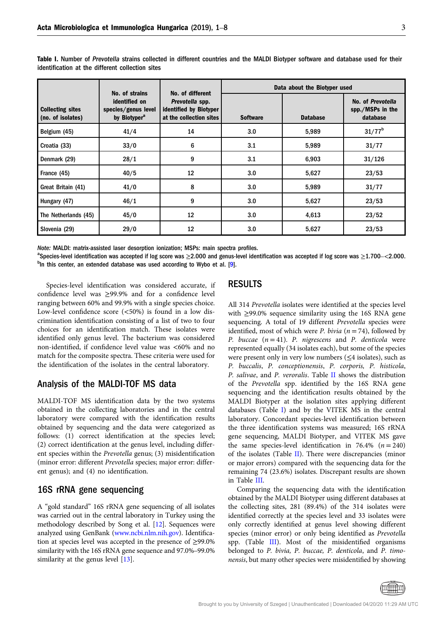|                                              | No. of strains                                                   | No. of different                                                     | Data about the Biotyper used |                 |                                                   |  |  |  |
|----------------------------------------------|------------------------------------------------------------------|----------------------------------------------------------------------|------------------------------|-----------------|---------------------------------------------------|--|--|--|
| <b>Collecting sites</b><br>(no. of isolates) | identified on<br>species/genus level<br>by Biotyper <sup>a</sup> | Prevotella spp.<br>identified by Biotyper<br>at the collection sites | <b>Software</b>              | <b>Database</b> | No. of Prevotella<br>spp./MSPs in the<br>database |  |  |  |
| Belgium (45)                                 | 41/4                                                             | 14                                                                   | 3.0                          | 5,989           | $31/77^b$                                         |  |  |  |
| Croatia (33)                                 | 33/0                                                             | 6                                                                    | 3.1                          | 5,989           | 31/77                                             |  |  |  |
| Denmark (29)                                 | 28/1                                                             | 9                                                                    | 3.1                          | 6,903           | 31/126                                            |  |  |  |
| France (45)                                  | 40/5                                                             | 12                                                                   | 3.0                          | 5,627           | 23/53                                             |  |  |  |
| Great Britain (41)                           | 41/0                                                             | 8                                                                    | 3.0                          | 5,989           | 31/77                                             |  |  |  |
| Hungary (47)                                 | 46/1                                                             | 9                                                                    | 3.0                          | 5,627           | 23/53                                             |  |  |  |
| The Netherlands (45)                         | 45/0                                                             | 12                                                                   | 3.0                          | 4,613           | 23/52                                             |  |  |  |
| Slovenia (29)                                | 29/0                                                             | 12                                                                   | 3.0                          | 5,627           | 23/53                                             |  |  |  |

<span id="page-2-0"></span>Table I. Number of Prevotella strains collected in different countries and the MALDI Biotyper software and database used for their identification at the different collection sites

Note: MALDI: matrix-assisted laser desorption ionization; MSPs: main spectra profiles.

 ${}^{a}$ Species-level identification was accepted if log score was  $\geq$ 2.000 and genus-level identification was accepted if log score was  $\geq$ 1.700–<2.000.  $P$ In this center, an extended database was used according to Wybo et al. [[9](#page-7-0)].

Species-level identification was considered accurate, if confidence level was ≥99.9% and for a confidence level ranging between 60% and 99.9% with a single species choice. Low-level confidence score (<50%) is found in a low discrimination identification consisting of a list of two to four choices for an identification match. These isolates were identified only genus level. The bacterium was considered non-identified, if confidence level value was <60% and no match for the composite spectra. These criteria were used for the identification of the isolates in the central laboratory.

## Analysis of the MALDI-TOF MS data

MALDI-TOF MS identification data by the two systems obtained in the collecting laboratories and in the central laboratory were compared with the identification results obtained by sequencing and the data were categorized as follows: (1) correct identification at the species level; (2) correct identification at the genus level, including different species within the Prevotella genus; (3) misidentification (minor error: different Prevotella species; major error: different genus); and (4) no identification.

## 16S rRNA gene sequencing

A "gold standard" 16S rRNA gene sequencing of all isolates was carried out in the central laboratory in Turkey using the methodology described by Song et al. [[12](#page-7-0)]. Sequences were analyzed using GenBank [\(www.ncbi.nlm.nih.gov\)](www.ncbi.nlm.nih.gov). Identification at species level was accepted in the presence of ≥99.0% was carried out in the eentral laboratory in Turkey using the<br>methodology described by Song et al. [12]. Sequences were<br>analyzed using GenBank (www.ncbi.nlm.nih.gov). Identifica-<br>tion at species level was accepted in the similarity at the genus level [\[13](#page-7-0)].

# RESULTS

All 314 Prevotella isolates were identified at the species level with ≥99.0% sequence similarity using the 16S RNA gene sequencing. A total of 19 different Prevotella species were identified, most of which were *P*. *bivia* ( $n = 74$ ), followed by P. buccae  $(n = 41)$ . P. nigrescens and P. denticola were represented equally (34 isolates each), but some of the species were present only in very low numbers ( $\leq$ 4 isolates), such as P. buccalis, P. conceptionensis, P. corporis, P. histicola, P. salivae, and P. veroralis. Table [II](#page-3-0) shows the distribution of the Prevotella spp. identified by the 16S RNA gene sequencing and the identification results obtained by the MALDI Biotyper at the isolation sites applying different databases (Table I) and by the VITEK MS in the central laboratory. Concordant species-level identification between the three identification systems was measured; 16S rRNA gene sequencing, MALDI Biotyper, and VITEK MS gave the same species-level identification in 76.4%  $(n = 240)$ of the isolates (Table [II](#page-3-0)). There were discrepancies (minor or major errors) compared with the sequencing data for the remaining 74 (23.6%) isolates. Discrepant results are shown in Table [III](#page-4-0).

Comparing the sequencing data with the identification obtained by the MALDI Biotyper using different databases at the collecting sites, 281 (89.4%) of the 314 isolates were identified correctly at the species level and 33 isolates were only correctly identified at genus level showing different species (minor error) or only being identified as Prevotella spp. (Table [III](#page-4-0)). Most of the misidentified organisms belonged to P. bivia, P. buccae, P. denticola, and P. timonensis, but many other species were misidentified by showing

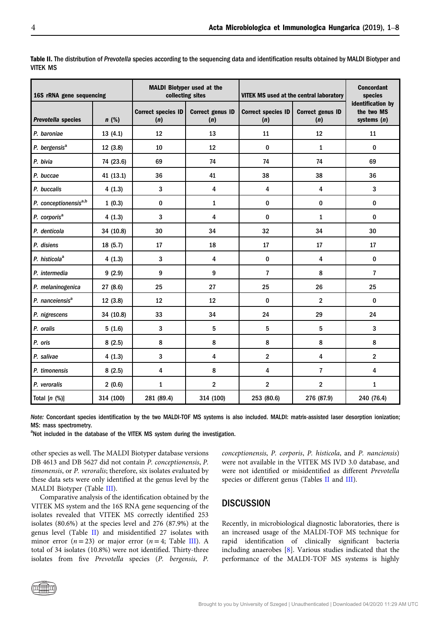| 16S rRNA gene sequencing    |           |                                  | <b>MALDI Biotyper used at the</b><br>collecting sites | <b>VITEK MS used at the central laboratory</b> | <b>Concordant</b><br>species   |                                                  |
|-----------------------------|-----------|----------------------------------|-------------------------------------------------------|------------------------------------------------|--------------------------------|--------------------------------------------------|
| Prevotella species          | $n$ (%)   | <b>Correct species ID</b><br>(n) | <b>Correct genus ID</b><br>(n)                        | <b>Correct species ID</b><br>(n)               | <b>Correct genus ID</b><br>(n) | identification by<br>the two MS<br>systems $(n)$ |
| P. baroniae                 | 13(4.1)   | 12                               | 13                                                    | 11                                             | 12                             | 11                                               |
| P. bergensis <sup>a</sup>   | 12 (3.8)  | 10                               | 12                                                    | $\bf{0}$                                       | $\mathbf{1}$                   | $\bf{0}$                                         |
| P. bivia                    | 74 (23.6) | 69                               | 74                                                    | 74                                             | 74                             | 69                                               |
| P. buccae                   | 41 (13.1) | 36                               | 41                                                    | 38                                             | 38                             | 36                                               |
| P. buccalis                 | 4(1.3)    | 3                                | 4                                                     | $\overline{\mathbf{4}}$                        | $\overline{\mathbf{4}}$        | 3                                                |
| P. conceptionensisa,b       | 1(0.3)    | 0                                | $\mathbf{1}$                                          | $\pmb{0}$                                      | $\pmb{0}$                      | $\pmb{0}$                                        |
| P. corporis <sup>a</sup>    | 4(1.3)    | 3                                | 4                                                     | $\bf{0}$                                       | $\mathbf{1}$                   | $\pmb{0}$                                        |
| P. denticola                | 34 (10.8) | 30                               | 34                                                    | 32                                             | 34                             | 30                                               |
| P. disiens                  | 18 (5.7)  | 17                               | 18                                                    | 17                                             | 17                             | 17                                               |
| P. histicola <sup>a</sup>   | 4(1.3)    | 3                                | 4                                                     | $\pmb{0}$                                      | $\overline{\mathbf{4}}$        | $\bf{0}$                                         |
| P. intermedia               | 9(2.9)    | 9                                | 9                                                     | $\overline{7}$                                 | 8                              | $\overline{7}$                                   |
| P. melaninogenica           | 27 (8.6)  | 25                               | 27                                                    | 25                                             | 26                             | 25                                               |
| P. nanceiensis <sup>a</sup> | 12 (3.8)  | 12                               | 12                                                    | $\bf{0}$                                       | $\overline{2}$                 | $\bf{0}$                                         |
| P. nigrescens               | 34 (10.8) | 33                               | 34                                                    | 24                                             | 29                             | 24                                               |
| P. oralis                   | 5(1.6)    | 3                                | 5                                                     | 5                                              | $\overline{5}$                 | 3                                                |
| P. oris                     | 8(2.5)    | 8                                | 8                                                     | 8                                              | 8                              | 8                                                |
| P. salivae                  | 4(1.3)    | 3                                | 4                                                     | $\overline{2}$                                 | $\overline{\mathbf{4}}$        | $\overline{2}$                                   |
| P. timonensis               | 8(2.5)    | 4                                | 8                                                     | $\overline{\mathbf{4}}$                        | $\overline{7}$                 | 4                                                |
| P. veroralis                | 2(0.6)    | 1                                | $\overline{2}$                                        | $\overline{2}$                                 | $\overline{2}$                 | $\mathbf{1}$                                     |
| Total $[n (%)]$             | 314 (100) | 281 (89.4)                       | 314 (100)                                             | 253 (80.6)                                     | 276 (87.9)                     | 240 (76.4)                                       |

<span id="page-3-0"></span>Table II. The distribution of Prevotella species according to the sequencing data and identification results obtained by MALDI Biotyper and VITEK MS

Note: Concordant species identification by the two MALDI-TOF MS systems is also included. MALDI: matrix-assisted laser desorption ionization; MS: mass spectrometry.

<sup>a</sup>Not included in the database of the VITEK MS system during the investigation.

other species as well. The MALDI Biotyper database versions DB 4613 and DB 5627 did not contain P. conceptionensis, P. timonensis, or P. veroralis; therefore, six isolates evaluated by these data sets were only identified at the genus level by the MALDI Biotyper (Table [III](#page-4-0)).

Comparative analysis of the identification obtained by the VITEK MS system and the 16S RNA gene sequencing of the isolates revealed that VITEK MS correctly identified 253 isolates (80.6%) at the species level and 276 (87.9%) at the genus level (Table II) and misidentified 27 isolates with minor error ( $n = 23$ ) or major error ( $n = 4$ ; Table [III](#page-4-0)). A total of 34 isolates (10.8%) were not identified. Thirty-three isolates from five Prevotella species (P. bergensis, P. conceptionensis, P. corporis, P. histicola, and P. nanciensis) were not available in the VITEK MS IVD 3.0 database, and were not identified or misidentified as different Prevotella species or different genus (Tables II and [III](#page-4-0)).

## **DISCUSSION**

Recently, in microbiological diagnostic laboratories, there is an increased usage of the MALDI-TOF MS technique for rapid identification of clinically significant bacteria including anaerobes [\[8\]](#page-7-0). Various studies indicated that the performance of the MALDI-TOF MS systems is highly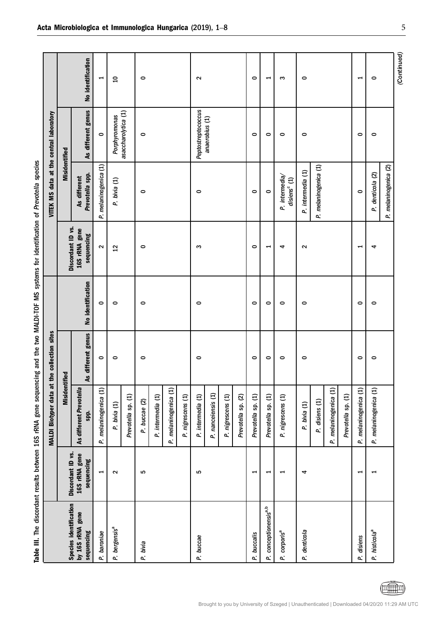| ĺ                     |
|-----------------------|
| j<br>Ì                |
|                       |
|                       |
|                       |
|                       |
| こくちゅうしくじ こくこう         |
| $\vdots$              |
|                       |
|                       |
| ;                     |
| and the two           |
| $\frac{1}{2}$         |
|                       |
| ;                     |
|                       |
|                       |
| manna ann an an a     |
|                       |
|                       |
| )<br>)<br>)<br>)<br>) |
| $\frac{1}{2}$         |
|                       |
|                       |
|                       |
|                       |
|                       |
| Ξ                     |
|                       |
| ĺ<br>l                |

<span id="page-4-0"></span>

|                                   |                             | MALDI Biotyper data at the collection sites |                                              |                   |                             | VITEK MS data at the central laboratory   |                     |                          |
|-----------------------------------|-----------------------------|---------------------------------------------|----------------------------------------------|-------------------|-----------------------------|-------------------------------------------|---------------------|--------------------------|
| Species identification            | Discordant ID vs.           | Misidentified                               |                                              |                   | Discordant ID vs.           | <b>Misidentified</b>                      |                     |                          |
| by 16S rRNA gene<br>sequencing    | 16S rRNA gene<br>sequencing | As different Prevotella<br>spp.             | different genus<br>$\overline{\mathbf{A}}$ s | No identification | 16S rRNA gene<br>sequencing | Prevotella spp.<br>As different           | As different genus  | No identification        |
| P. baroniae                       | $\blacktriangleright$       | P. melaninogenica (1)                       | $\circ$                                      | $\circ$           | $\sim$                      | P. melaninogenica (1)                     | $\circ$             | $\blacktriangleright$    |
| P. bergensis <sup>a</sup>         | $\sim$                      | P. bivia (1)                                | $\circ$                                      | $\circ$           | $\overline{12}$             | P. bivia (1)                              | Porphyromonas       | $\overline{a}$           |
|                                   |                             | Prevotella sp. (1)                          |                                              |                   |                             |                                           | asaccharolytica (1) |                          |
| P. bivia                          | 5                           | P. buccae (2)                               | $\circ$                                      | $\circ$           | $\circ$                     | $\circ$                                   | $\circ$             | $\circ$                  |
|                                   |                             | P. intermedia (1)                           |                                              |                   |                             |                                           |                     |                          |
|                                   |                             | P. melaninogenica (1)                       |                                              |                   |                             |                                           |                     |                          |
|                                   |                             | P. nigrescens (1)                           |                                              |                   |                             |                                           |                     |                          |
| P. buccae                         | ιΩ                          | P. intermedia (1)                           | $\circ$                                      | $\circ$           | S                           | $\circ$                                   | Peptostreptococcus  | $\sim$                   |
|                                   |                             | P. nanceiensis (1)                          |                                              |                   |                             |                                           | anaerobius (1)      |                          |
|                                   |                             | P. nigrescens (1)                           |                                              |                   |                             |                                           |                     |                          |
|                                   |                             | Prevotella sp. (2)                          |                                              |                   |                             |                                           |                     |                          |
| P. buccalis                       | $\overline{\phantom{0}}$    | Prevotella sp. (1)                          | $\circ$                                      | $\circ$           | $\circ$                     | $\circ$                                   | $\circ$             | $\circ$                  |
| P. conceptionensis <sup>a,b</sup> | $\blacktriangleright$       | Prevotella sp. (1)                          | $\circ$                                      | $\bullet$         | $\blacktriangleright$       | $\circ$                                   | $\circ$             | $\blacktriangleright$    |
| P. corporis <sup>a</sup>          | $\overline{\phantom{0}}$    | P. nigrescens (1)                           | $\circ$                                      | $\circ$           | 4                           | P. intermedia<br>disiens <sup>c</sup> (1) | $\circ$             | ო                        |
| P. denticola                      | 4                           | P. bivia (1)                                | $\circ$                                      | $\circ$           | $\sim$                      | P. intermedia (1)                         | $\circ$             | $\circ$                  |
|                                   |                             | P. disiens (1)                              |                                              |                   |                             | P. melaninogenica (1)                     |                     |                          |
|                                   |                             | P. melaninogenica (1)                       |                                              |                   |                             |                                           |                     |                          |
|                                   |                             | Prevotella sp. (1)                          |                                              |                   |                             |                                           |                     |                          |
| P. disiens                        | 1                           | P. melaninogenica (1)                       | $\circ$                                      | $\circ$           | $\overline{\phantom{0}}$    | $\circ$                                   | $\circ$             | $\overline{\phantom{0}}$ |
| P. histicola <sup>a</sup>         | $\overline{\phantom{0}}$    | P. melaninogenica (1)                       | $\circ$                                      | 0                 | 4                           | P. denticola (2)                          | 0                   | $\circ$                  |
|                                   |                             |                                             |                                              |                   |                             | P. melaninogenica (2)                     |                     |                          |
|                                   |                             |                                             |                                              |                   |                             |                                           |                     | (Continued)              |

(国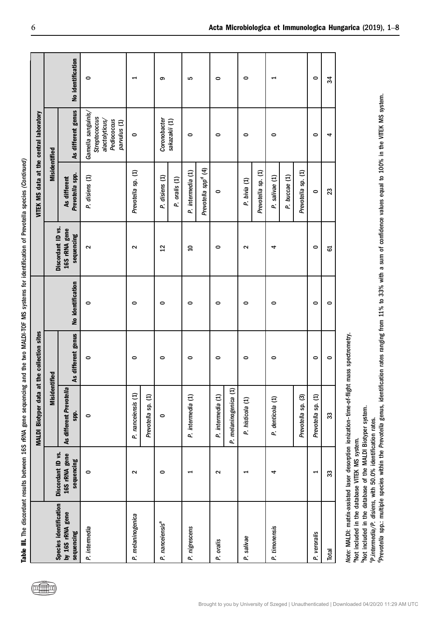| ֧֧֧֧֧֧ׅ֧֧ׅ֧֧֧֧֛֛֛֛֛֛֛֛֛֪֧֛֛֪֛֚֚֚֚֚֚֚֚֚֚֚֚֚֚֝֝֬֝֓֜֜֜֜֜֓֜֜֜֝֬֜ |
|--------------------------------------------------------------|
|                                                              |
|                                                              |
|                                                              |
|                                                              |
|                                                              |
|                                                              |
|                                                              |
|                                                              |
|                                                              |
|                                                              |
|                                                              |
|                                                              |
|                                                              |
|                                                              |
|                                                              |
|                                                              |
|                                                              |
|                                                              |
|                                                              |
|                                                              |
|                                                              |
|                                                              |
|                                                              |
|                                                              |
|                                                              |
|                                                              |
|                                                              |
|                                                              |
|                                                              |
|                                                              |
|                                                              |
|                                                              |
| [5]<br>[10]<br>[10]<br><b>CHAIRS LOW 2019</b>                |
|                                                              |
|                                                              |
|                                                              |
|                                                              |
|                                                              |
|                                                              |
|                                                              |
|                                                              |
|                                                              |
| Company of                                                   |
|                                                              |
|                                                              |
|                                                              |
|                                                              |
|                                                              |
|                                                              |
|                                                              |
| ١                                                            |
|                                                              |
|                                                              |
|                                                              |
|                                                              |
|                                                              |
|                                                              |
| 5                                                            |
| . All a contracts of a contract of                           |
|                                                              |
|                                                              |
|                                                              |
|                                                              |
|                                                              |
|                                                              |
|                                                              |
|                                                              |
| i                                                            |
|                                                              |
|                                                              |
|                                                              |
|                                                              |
|                                                              |
|                                                              |
|                                                              |
| <b>Its betwe.</b>                                            |
|                                                              |
|                                                              |
|                                                              |
|                                                              |
|                                                              |
|                                                              |
|                                                              |
|                                                              |
|                                                              |
|                                                              |
|                                                              |
|                                                              |
|                                                              |
|                                                              |
|                                                              |
| J                                                            |
|                                                              |

|                                                       |                               | No identification               | $\circ$                                                                              |                                          | တ                               | LO.                                                  | 0                                          | 0                                  |                                                       | $\circ$            | 34      |
|-------------------------------------------------------|-------------------------------|---------------------------------|--------------------------------------------------------------------------------------|------------------------------------------|---------------------------------|------------------------------------------------------|--------------------------------------------|------------------------------------|-------------------------------------------------------|--------------------|---------|
|                                                       |                               | As different genus              | Gamella sanguinis/<br>Streptococcus<br>alactolyticus/<br>Pediococcus<br>parvulus (1) | $\bullet$                                | Coronobacter<br>sakazakii (1)   | $\circ$                                              | 0                                          | $\bullet$                          | 0                                                     | $\bullet$          | 4       |
| VITEK MS data at the central laboratory               | <b>Misidentified</b>          | Prevotella spp.<br>As different | P. disiens (1)                                                                       | Prevotella sp. (1)                       | P. disiens (1)<br>P. oralis (1) | Prevotella spp <sup>d</sup> (4)<br>P. intermedia (1) | 0                                          | Prevotella sp. (1)<br>P. bivia (1) | Prevotella sp. (1)<br>P. buccae (1)<br>P. salivae (1) | 0                  | 23      |
|                                                       | Discordant ID vs.             | 16S rRNA gene<br>sequencing     | $\sim$                                                                               | $\sim$                                   | $\overline{12}$                 | $\overline{a}$                                       | 0                                          | $\mathbf{\Omega}$                  | 4                                                     | $\circ$            | 5       |
|                                                       |                               | No identification               | $\circ$                                                                              | 0                                        | 0                               | 0                                                    | 0                                          | $\bullet$                          | 0                                                     | $\circ$            | $\circ$ |
| the collection sites<br><b>MALDI Biotyper data at</b> |                               | As different genus              | $\circ$                                                                              | $\circ$                                  | $\circ$                         | 0                                                    | 0                                          | 0                                  | 0                                                     | $\circ$            | $\circ$ |
|                                                       | <b>Misidentified</b>          | As different Prevotella<br>spp. | $\bullet$                                                                            | P. nanceiensis (1)<br>Prevotella sp. (1) | $\circ$                         | P. intermedia (1)                                    | P. melaninogenica (1)<br>P. intermedia (1) | P. histicola (1)                   | Prevotella sp. (3)<br>P. denticola (1)                | Prevotella sp. (1) | 33      |
|                                                       | Discordant ID vs.             | 16S rRNA gene<br>sequencing     | $\circ$                                                                              | 2                                        | $\circ$                         |                                                      | $\sim$                                     | ⊣                                  | 4                                                     | 1                  | 33      |
|                                                       | <b>Species identification</b> | by 16S rRNA gene<br>sequencing  | P. intermedia                                                                        | P. melaninogenica                        | P. nanceiensis <sup>a</sup>     | P. nigrescens                                        | P. oralis                                  | P. salivae                         | P. timonensis                                         | P. veroralis       | Total   |

Note: MALDI: matrix-assisted laser desorption ionization-time-of-flight mass spectrometry. Note: MALDI: matrix-assisted laser desorption ionization–time-of-flight mass spectrometry.

<sup>a</sup>Not included in the database VITEK MS system. aNot included in the database VITEK MS system.

Brought to you by University of Szeged | Unauthenticated | Downloaded 04/20/20 11:29 AM UTC

<sup>b</sup>Not included in the database of the MALDI Biotyper system.<br><sup>6</sup>P.intermedia/P. disiens, with 50.0% identification rates. bNot included in the database of the MALDI Biotyper system.

cP.intermedia/P. disiens, with 50.0% identification rates.

<sup>d</sup>Prevotella spp: multiple species within the Prevotella genus, identification rates ranging from 11% to 33% with a sum of confidence values equal to 100% in the VITEK MS system. <sup>d</sup>Prevotella spp.: multiple species within the Prevotella genus, identification rates ranging from 11% to 33% with a sum of confidence values equal to 100% in the VITEK MS system.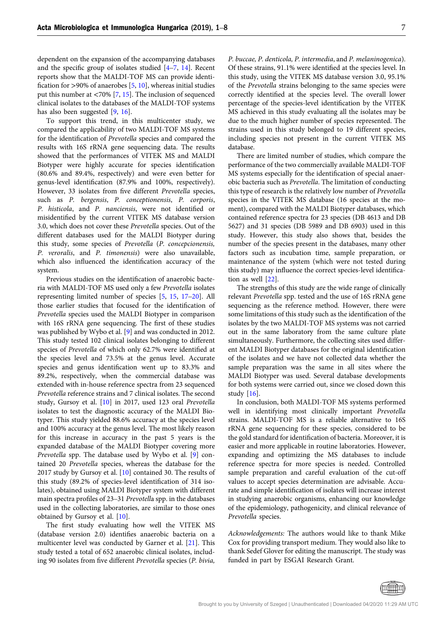dependent on the expansion of the accompanying databases and the specific group of isolates studied [[4](#page-7-0)–[7](#page-7-0), [14\]](#page-7-0). Recent reports show that the MALDI-TOF MS can provide identification for  $>90\%$  of anaerobes [[5,](#page-7-0) [10\]](#page-7-0), whereas initial studies put this number at <70% [\[7](#page-7-0), [15](#page-7-0)]. The inclusion of sequenced clinical isolates to the databases of the MALDI-TOF systems has also been suggested [\[9](#page-7-0), [16](#page-7-0)].

To support this trend, in this multicenter study, we compared the applicability of two MALDI-TOF MS systems for the identification of Prevotella species and compared the results with 16S rRNA gene sequencing data. The results showed that the performances of VITEK MS and MALDI Biotyper were highly accurate for species identification (80.6% and 89.4%, respectively) and were even better for genus-level identification (87.9% and 100%, respectively). However, 33 isolates from five different Prevotella species, such as P. bergensis, P. conceptionensis, P. corporis, P. histicola, and P. nanciensis, were not identified or misidentified by the current VITEK MS database version 3.0, which does not cover these Prevotella species. Out of the different databases used for the MALDI Biotyper during this study, some species of Prevotella (P. concepcionensis, P. veroralis, and P. timonensis) were also unavailable, which also influenced the identification accuracy of the system.

Previous studies on the identification of anaerobic bacteria with MALDI-TOF MS used only a few Prevotella isolates representing limited number of species [\[5,](#page-7-0) [15,](#page-7-0) [17](#page-7-0)–[20](#page-7-0)]. All those earlier studies that focused for the identification of Prevotella species used the MALDI Biotyper in comparison with 16S rRNA gene sequencing. The first of these studies was published by Wybo et al. [\[9](#page-7-0)] and was conducted in 2012. This study tested 102 clinical isolates belonging to different species of Prevotella of which only 62.7% were identified at the species level and 73.5% at the genus level. Accurate species and genus identification went up to 83.3% and 89.2%, respectively, when the commercial database was extended with in-house reference spectra from 23 sequenced Prevotella reference strains and 7 clinical isolates. The second study, Gursoy et al. [[10](#page-7-0)] in 2017, used 123 oral Prevotella isolates to test the diagnostic accuracy of the MALDI Biotyper. This study yielded 88.6% accuracy at the species level and 100% accuracy at the genus level. The most likely reason for this increase in accuracy in the past 5 years is the expanded database of the MALDI Biotyper covering more Prevotella spp. The database used by Wybo et al. [[9\]](#page-7-0) contained 20 Prevotella species, whereas the database for the 2017 study by Gursoy et al. [\[10\]](#page-7-0) contained 30. The results of this study (89.2% of species-level identification of 314 isolates), obtained using MALDI Biotyper system with different anned 20 Trevotella species, whereas the database for the<br>2017 study by Gursoy et al. [10] contained 30. The results of<br>this study (89.2% of species-level identification of 314 iso-<br>lates), obtained using MALDI Biotyper sy used in the collecting laboratories, are similar to those ones obtained by Gursoy et al. [[10](#page-7-0)].

The first study evaluating how well the VITEK MS (database version 2.0) identifies anaerobic bacteria on a multicenter level was conducted by Garner et al. [[21](#page-7-0)]. This study tested a total of 652 anaerobic clinical isolates, including 90 isolates from five different Prevotella species (P. bivia,

P. buccae, P. denticola, P. intermedia, and P. melaninogenica). Of these strains, 91.1% were identified at the species level. In this study, using the VITEK MS database version 3.0, 95.1% of the Prevotella strains belonging to the same species were correctly identified at the species level. The overall lower percentage of the species-level identification by the VITEK MS achieved in this study evaluating all the isolates may be due to the much higher number of species represented. The strains used in this study belonged to 19 different species, including species not present in the current VITEK MS database.

There are limited number of studies, which compare the performance of the two commercially available MALDI-TOF MS systems especially for the identification of special anaerobic bacteria such as Prevotella. The limitation of conducting this type of research is the relatively low number of Prevotella species in the VITEK MS database (16 species at the moment), compared with the MALDI Biotyper databases, which contained reference spectra for 23 species (DB 4613 and DB 5627) and 31 species (DB 5989 and DB 6903) used in this study. However, this study also shows that, besides the number of the species present in the databases, many other factors such as incubation time, sample preparation, or maintenance of the system (which were not tested during this study) may influence the correct species-level identification as well [[22\]](#page-7-0).

The strengths of this study are the wide range of clinically relevant Prevotella spp. tested and the use of 16S rRNA gene sequencing as the reference method. However, there were some limitations of this study such as the identification of the isolates by the two MALDI-TOF MS systems was not carried out in the same laboratory from the same culture plate simultaneously. Furthermore, the collecting sites used different MALDI Biotyper databases for the original identification of the isolates and we have not collected data whether the sample preparation was the same in all sites where the MALDI Biotyper was used. Several database developments for both systems were carried out, since we closed down this study [[16](#page-7-0)].

In conclusion, both MALDI-TOF MS systems performed well in identifying most clinically important Prevotella strains. MALDI-TOF MS is a reliable alternative to 16S rRNA gene sequencing for these species, considered to be the gold standard for identification of bacteria. Moreover, it is easier and more applicable in routine laboratories. However, expanding and optimizing the MS databases to include reference spectra for more species is needed. Controlled sample preparation and careful evaluation of the cut-off values to accept species determination are advisable. Accurate and simple identification of isolates will increase interest in studying anaerobic organisms, enhancing our knowledge of the epidemiology, pathogenicity, and clinical relevance of Prevotella species.

Acknowledgements: The authors would like to thank Mike Cox for providing transport medium. They would also like to thank Sedef Glover for editing the manuscript. The study was funded in part by ESGAI Research Grant.